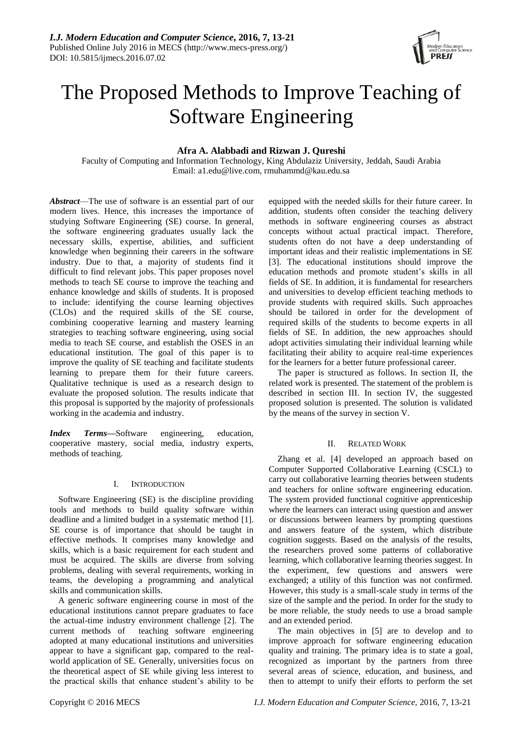

# The Proposed Methods to Improve Teaching of Software Engineering

# **Afra A. Alabbadi and Rizwan J. Qureshi**

Faculty of Computing and Information Technology, King Abdulaziz University, Jeddah, Saudi Arabia Email: [a1.edu@live.com,](mailto:a1.edu@live.com) rmuhammd@kau.edu.sa

*Abstract*—The use of software is an essential part of our modern lives. Hence, this increases the importance of studying Software Engineering (SE) course. In general, the software engineering graduates usually lack the necessary skills, expertise, abilities, and sufficient knowledge when beginning their careers in the software industry. Due to that, a majority of students find it difficult to find relevant jobs. This paper proposes novel methods to teach SE course to improve the teaching and enhance knowledge and skills of students. It is proposed to include: identifying the course learning objectives (CLOs) and the required skills of the SE course, combining cooperative learning and mastery learning strategies to teaching software engineering, using social media to teach SE course, and establish the OSES in an educational institution. The goal of this paper is to improve the quality of SE teaching and facilitate students learning to prepare them for their future careers. Qualitative technique is used as a research design to evaluate the proposed solution. The results indicate that this proposal is supported by the majority of professionals working in the academia and industry.

*Index Terms***—**Software engineering, education, cooperative mastery, social media, industry experts, methods of teaching.

## I. INTRODUCTION

Software Engineering (SE) is the discipline providing tools and methods to build quality software within deadline and a limited budget in a systematic method [1]. SE course is of importance that should be taught in effective methods. It comprises many knowledge and skills, which is a basic requirement for each student and must be acquired. The skills are diverse from solving problems, dealing with several requirements, working in teams, the developing a programming and analytical skills and communication skills.

A generic software engineering course in most of the educational institutions cannot prepare graduates to face the actual-time industry environment challenge [2]. The current methods of teaching software engineering adopted at many educational institutions and universities appear to have a significant gap, compared to the realworld application of SE. Generally, universities focus on the theoretical aspect of SE while giving less interest to the practical skills that enhance student's ability to be

equipped with the needed skills for their future career. In addition, students often consider the teaching delivery methods in software engineering courses as abstract concepts without actual practical impact. Therefore, students often do not have a deep understanding of important ideas and their realistic implementations in SE [3]. The educational institutions should improve the education methods and promote student's skills in all fields of SE. In addition, it is fundamental for researchers and universities to develop efficient teaching methods to provide students with required skills. Such approaches should be tailored in order for the development of required skills of the students to become experts in all fields of SE. In addition, the new approaches should adopt activities simulating their individual learning while facilitating their ability to acquire real-time experiences for the learners for a better future professional career.

The paper is structured as follows. In section II, the related work is presented. The statement of the problem is described in section III. In section IV, the suggested proposed solution is presented. The solution is validated by the means of the survey in section V.

## II. RELATED WORK

Zhang et al. [4] developed an approach based on Computer Supported Collaborative Learning (CSCL) to carry out collaborative learning theories between students and teachers for online software engineering education. The system provided functional cognitive apprenticeship where the learners can interact using question and answer or discussions between learners by prompting questions and answers feature of the system, which distribute cognition suggests. Based on the analysis of the results, the researchers proved some patterns of collaborative learning, which collaborative learning theories suggest. In the experiment, few questions and answers were exchanged; a utility of this function was not confirmed. However, this study is a small-scale study in terms of the size of the sample and the period. In order for the study to be more reliable, the study needs to use a broad sample and an extended period.

The main objectives in [5] are to develop and to improve approach for software engineering education quality and training. The primary idea is to state a goal, recognized as important by the partners from three several areas of science, education, and business, and then to attempt to unify their efforts to perform the set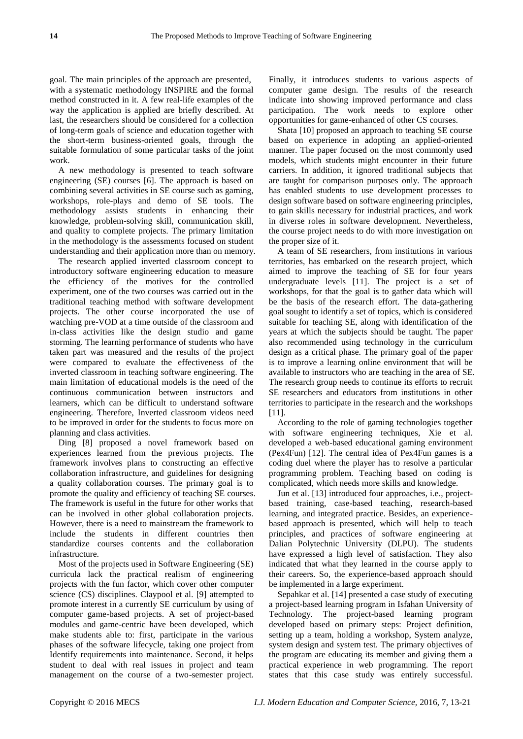goal. The main principles of the approach are presented, with a systematic methodology INSPIRE and the formal method constructed in it. A few real-life examples of the way the application is applied are briefly described. At last, the researchers should be considered for a collection of long-term goals of science and education together with the short-term business-oriented goals, through the suitable formulation of some particular tasks of the joint work.

A new methodology is presented to teach software engineering (SE) courses [6]. The approach is based on combining several activities in SE course such as gaming, workshops, role-plays and demo of SE tools. The methodology assists students in enhancing their knowledge, problem-solving skill, communication skill, and quality to complete projects. The primary limitation in the methodology is the assessments focused on student understanding and their application more than on memory.

The research applied inverted classroom concept to introductory software engineering education to measure the efficiency of the motives for the controlled experiment, one of the two courses was carried out in the traditional teaching method with software development projects. The other course incorporated the use of watching pre-VOD at a time outside of the classroom and in-class activities like the design studio and game storming. The learning performance of students who have taken part was measured and the results of the project were compared to evaluate the effectiveness of the inverted classroom in teaching software engineering. The main limitation of educational models is the need of the continuous communication between instructors and learners, which can be difficult to understand software engineering. Therefore, Inverted classroom videos need to be improved in order for the students to focus more on planning and class activities.

Ding [8] proposed a novel framework based on experiences learned from the previous projects. The framework involves plans to constructing an effective collaboration infrastructure, and guidelines for designing a quality collaboration courses. The primary goal is to promote the quality and efficiency of teaching SE courses. The framework is useful in the future for other works that can be involved in other global collaboration projects. However, there is a need to mainstream the framework to include the students in different countries then standardize courses contents and the collaboration infrastructure.

Most of the projects used in Software Engineering (SE) curricula lack the practical realism of engineering projects with the fun factor, which cover other computer science (CS) disciplines. Claypool et al. [9] attempted to promote interest in a currently SE curriculum by using of computer game-based projects. A set of project-based modules and game-centric have been developed, which make students able to: first, participate in the various phases of the software lifecycle, taking one project from Identify requirements into maintenance. Second, it helps student to deal with real issues in project and team management on the course of a two-semester project.

Finally, it introduces students to various aspects of computer game design. The results of the research indicate into showing improved performance and class participation. The work needs to explore other opportunities for game-enhanced of other CS courses.

Shata [10] proposed an approach to teaching SE course based on experience in adopting an applied-oriented manner. The paper focused on the most commonly used models, which students might encounter in their future carriers. In addition, it ignored traditional subjects that are taught for comparison purposes only. The approach has enabled students to use development processes to design software based on software engineering principles, to gain skills necessary for industrial practices, and work in diverse roles in software development. Nevertheless, the course project needs to do with more investigation on the proper size of it.

A team of SE researchers, from institutions in various territories, has embarked on the research project, which aimed to improve the teaching of SE for four years undergraduate levels [11]. The project is a set of workshops, for that the goal is to gather data which will be the basis of the research effort. The data-gathering goal sought to identify a set of topics, which is considered suitable for teaching SE, along with identification of the years at which the subjects should be taught. The paper also recommended using technology in the curriculum design as a critical phase. The primary goal of the paper is to improve a learning online environment that will be available to instructors who are teaching in the area of SE. The research group needs to continue its efforts to recruit SE researchers and educators from institutions in other territories to participate in the research and the workshops [11].

According to the role of gaming technologies together with software engineering techniques, Xie et al. developed a web-based educational gaming environment (Pex4Fun) [12]. The central idea of Pex4Fun games is a coding duel where the player has to resolve a particular programming problem. Teaching based on coding is complicated, which needs more skills and knowledge.

Jun et al. [13] introduced four approaches, i.e., projectbased training, case-based teaching, research-based learning, and integrated practice. Besides, an experiencebased approach is presented, which will help to teach principles, and practices of software engineering at Dalian Polytechnic University (DLPU). The students have expressed a high level of satisfaction. They also indicated that what they learned in the course apply to their careers. So, the experience-based approach should be implemented in a large experiment.

Sepahkar et al. [14] presented a case study of executing a project-based learning program in Isfahan University of Technology. The project-based learning program developed based on primary steps: Project definition, setting up a team, holding a workshop, System analyze, system design and system test. The primary objectives of the program are educating its member and giving them a practical experience in web programming. The report states that this case study was entirely successful.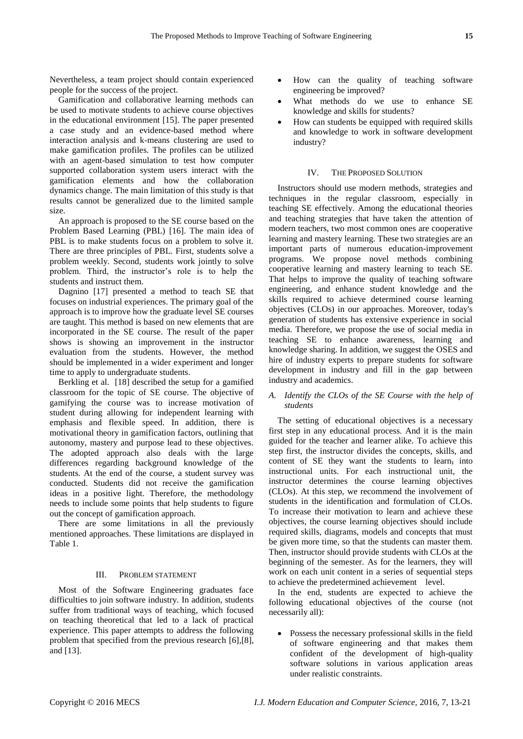Nevertheless, a team project should contain experienced people for the success of the project.

Gamification and collaborative learning methods can be used to motivate students to achieve course objectives in the educational environment [15]. The paper presented a case study and an evidence-based method where interaction analysis and k-means clustering are used to make gamification profiles. The profiles can be utilized with an agent-based simulation to test how computer supported collaboration system users interact with the gamification elements and how the collaboration dynamics change. The main limitation of this study is that results cannot be generalized due to the limited sample size.

An approach is proposed to the SE course based on the Problem Based Learning (PBL) [16]. The main idea of PBL is to make students focus on a problem to solve it. There are three principles of PBL. First, students solve a problem weekly. Second, students work jointly to solve problem. Third, the instructor's role is to help the students and instruct them.

Dagnino [17] presented a method to teach SE that focuses on industrial experiences. The primary goal of the approach is to improve how the graduate level SE courses are taught. This method is based on new elements that are incorporated in the SE course. The result of the paper shows is showing an improvement in the instructor evaluation from the students. However, the method should be implemented in a wider experiment and longer time to apply to undergraduate students.

Berkling et al. [18] described the setup for a gamified classroom for the topic of SE course. The objective of gamifying the course was to increase motivation of student during allowing for independent learning with emphasis and flexible speed. In addition, there is motivational theory in gamification factors, outlining that autonomy, mastery and purpose lead to these objectives. The adopted approach also deals with the large differences regarding background knowledge of the students. At the end of the course, a student survey was conducted. Students did not receive the gamification ideas in a positive light. Therefore, the methodology needs to include some points that help students to figure out the concept of gamification approach.

There are some limitations in all the previously mentioned approaches. These limitations are displayed in Table 1.

## III. PROBLEM STATEMENT

Most of the Software Engineering graduates face difficulties to join software industry. In addition, students suffer from traditional ways of teaching, which focused on teaching theoretical that led to a lack of practical experience. This paper attempts to address the following problem that specified from the previous research [6],[8], and [13].

- How can the quality of teaching software engineering be improved?
- What methods do we use to enhance SE knowledge and skills for students?
- How can students be equipped with required skills and knowledge to work in software development industry?

#### IV. THE PROPOSED SOLUTION

Instructors should use modern methods, strategies and techniques in the regular classroom, especially in teaching SE effectively. Among the educational theories and teaching strategies that have taken the attention of modern teachers, two most common ones are cooperative learning and mastery learning. These two strategies are an important parts of numerous education-improvement programs. We propose novel methods combining cooperative learning and mastery learning to teach SE. That helps to improve the quality of teaching software engineering, and enhance student knowledge and the skills required to achieve determined course learning objectives (CLOs) in our approaches. Moreover, today's generation of students has extensive experience in social media. Therefore, we propose the use of social media in teaching SE to enhance awareness, learning and knowledge sharing. In addition, we suggest the OSES and hire of industry experts to prepare students for software development in industry and fill in the gap between industry and academics.

#### *A. Identify the CLOs of the SE Course with the help of students*

The setting of educational objectives is a necessary first step in any educational process. And it is the main guided for the teacher and learner alike. To achieve this step first, the instructor divides the concepts, skills, and content of SE they want the students to learn, into instructional units. For each instructional unit, the instructor determines the course learning objectives (CLOs). At this step, we recommend the involvement of students in the identification and formulation of CLOs. To increase their motivation to learn and achieve these objectives, the course learning objectives should include required skills, diagrams, models and concepts that must be given more time, so that the students can master them. Then, instructor should provide students with CLOs at the beginning of the semester. As for the learners, they will work on each unit content in a series of sequential steps to achieve the predetermined achievement level.

In the end, students are expected to achieve the following educational objectives of the course (not necessarily all):

 Possess the necessary professional skills in the field of software engineering and that makes them confident of the development of high-quality software solutions in various application areas under realistic constraints.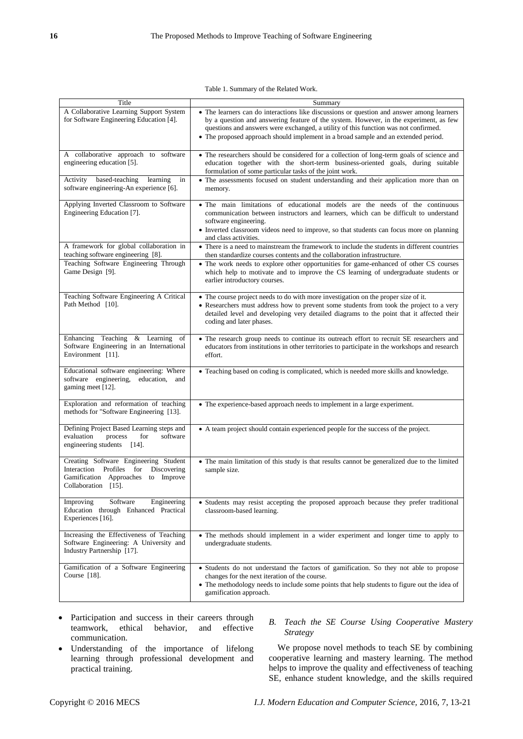Table 1. Summary of the Related Work.

| Title                                                                                                                                               | Summary                                                                                                                                                                                                                                                                                                                                                         |
|-----------------------------------------------------------------------------------------------------------------------------------------------------|-----------------------------------------------------------------------------------------------------------------------------------------------------------------------------------------------------------------------------------------------------------------------------------------------------------------------------------------------------------------|
| A Collaborative Learning Support System<br>for Software Engineering Education [4].                                                                  | • The learners can do interactions like discussions or question and answer among learners<br>by a question and answering feature of the system. However, in the experiment, as few<br>questions and answers were exchanged, a utility of this function was not confirmed.<br>• The proposed approach should implement in a broad sample and an extended period. |
| A collaborative approach to software<br>engineering education [5].                                                                                  | • The researchers should be considered for a collection of long-term goals of science and<br>education together with the short-term business-oriented goals, during suitable<br>formulation of some particular tasks of the joint work.                                                                                                                         |
| based-teaching<br>Activity<br>learning<br>in<br>software engineering-An experience [6].                                                             | • The assessments focused on student understanding and their application more than on<br>memory.                                                                                                                                                                                                                                                                |
| Applying Inverted Classroom to Software<br>Engineering Education [7].                                                                               | • The main limitations of educational models are the needs of the continuous<br>communication between instructors and learners, which can be difficult to understand<br>software engineering.<br>• Inverted classroom videos need to improve, so that students can focus more on planning<br>and class activities.                                              |
| A framework for global collaboration in<br>teaching software engineering [8].                                                                       | • There is a need to mainstream the framework to include the students in different countries<br>then standardize courses contents and the collaboration infrastructure.                                                                                                                                                                                         |
| Teaching Software Engineering Through<br>Game Design [9].                                                                                           | • The work needs to explore other opportunities for game-enhanced of other CS courses<br>which help to motivate and to improve the CS learning of undergraduate students or<br>earlier introductory courses.                                                                                                                                                    |
| Teaching Software Engineering A Critical<br>Path Method [10].                                                                                       | • The course project needs to do with more investigation on the proper size of it.<br>• Researchers must address how to prevent some students from took the project to a very<br>detailed level and developing very detailed diagrams to the point that it affected their<br>coding and later phases.                                                           |
| Enhancing Teaching<br>$&$ Learning<br>of<br>Software Engineering in an International<br>Environment [11].                                           | • The research group needs to continue its outreach effort to recruit SE researchers and<br>educators from institutions in other territories to participate in the workshops and research<br>effort.                                                                                                                                                            |
| Educational software engineering: Where<br>software engineering,<br>education,<br>and<br>gaming meet [12].                                          | • Teaching based on coding is complicated, which is needed more skills and knowledge.                                                                                                                                                                                                                                                                           |
| Exploration and reformation of teaching<br>methods for "Software Engineering [13].                                                                  | • The experience-based approach needs to implement in a large experiment.                                                                                                                                                                                                                                                                                       |
| Defining Project Based Learning steps and<br>evaluation<br>process<br>for<br>software<br>engineering students [14].                                 | • A team project should contain experienced people for the success of the project.                                                                                                                                                                                                                                                                              |
| Creating Software Engineering Student<br>Interaction Profiles<br>Discovering<br>for<br>Gamification Approaches<br>to Improve<br>Collaboration [15]. | • The main limitation of this study is that results cannot be generalized due to the limited<br>sample size.                                                                                                                                                                                                                                                    |
| Improving<br>Software<br>Engineering<br>Education through Enhanced Practical<br>Experiences [16].                                                   | • Students may resist accepting the proposed approach because they prefer traditional<br>classroom-based learning.                                                                                                                                                                                                                                              |
| Increasing the Effectiveness of Teaching<br>Software Engineering: A University and<br>Industry Partnership [17].                                    | • The methods should implement in a wider experiment and longer time to apply to<br>undergraduate students.                                                                                                                                                                                                                                                     |
| Gamification of a Software Engineering<br>Course $[18]$ .                                                                                           | • Students do not understand the factors of gamification. So they not able to propose<br>changes for the next iteration of the course.<br>• The methodology needs to include some points that help students to figure out the idea of<br>gamification approach.                                                                                                 |

- Participation and success in their careers through teamwork, ethical behavior, and effective communication.
- Understanding of the importance of lifelong learning through professional development and practical training.

# *B. Teach the SE Course Using Cooperative Mastery Strategy*

We propose novel methods to teach SE by combining cooperative learning and mastery learning. The method helps to improve the quality and effectiveness of teaching SE, enhance student knowledge, and the skills required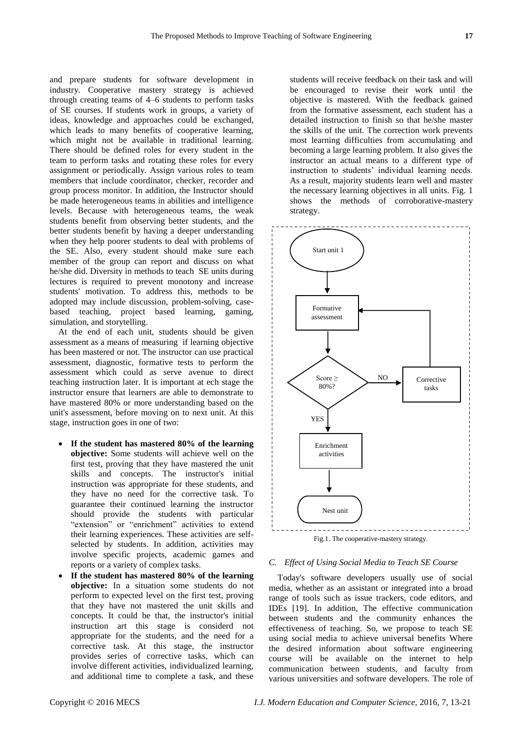and prepare students for software development in industry. Cooperative mastery strategy is achieved through creating teams of 4–6 students to perform tasks of SE courses. If students work in groups, a variety of ideas, knowledge and approaches could be exchanged, which leads to many benefits of cooperative learning, which might not be available in traditional learning. There should be defined roles for every student in the team to perform tasks and rotating these roles for every assignment or periodically. Assign various roles to team members that include coordinator, checker, recorder and group process monitor. In addition, the Instructor should be made heterogeneous teams in abilities and intelligence levels. Because with heterogeneous teams, the weak students benefit from observing better students, and the better students benefit by having a deeper understanding when they help poorer students to deal with problems of the SE. Also, every student should make sure each member of the group can report and discuss on what he/she did. Diversity in methods to teach SE units during lectures is required to prevent monotony and increase students' motivation. To address this, methods to be adopted may include discussion, problem-solving, casebased teaching, project based learning, gaming, simulation, and storytelling.

At the end of each unit, students should be given assessment as a means of measuring if learning objective has been mastered or not. The instructor can use practical assessment, diagnostic, formative tests to perform the assessment which could as serve avenue to direct teaching instruction later. It is important at ech stage the instructor ensure that learners are able to demonstrate to have mastered 80% or more understanding based on the unit's assessment, before moving on to next unit. At this stage, instruction goes in one of two:

- **If the student has mastered 80% of the learning objective:** Some students will achieve well on the first test, proving that they have mastered the unit skills and concepts. The instructor's initial instruction was appropriate for these students, and they have no need for the corrective task. To guarantee their continued learning the instructor should provide the students with particular "extension" or "enrichment" activities to extend their learning experiences. These activities are selfselected by students. In addition, activities may involve specific projects, academic games and reports or a variety of complex tasks.
- **If the student has mastered 80% of the learning objective:** In a situation some students do not perform to expected level on the first test, proving that they have not mastered the unit skills and concepts. It could be that, the instructor's initial instruction art this stage is considerd not appropriate for the students, and the need for a corrective task. At this stage, the instructor provides series of corrective tasks, which can involve different activities, individualized learning, and additional time to complete a task, and these

students will receive feedback on their task and will be encouraged to revise their work until the objective is mastered. With the feedback gained from the formative assessment, each student has a detailed instruction to finish so that he/she master the skills of the unit. The correction work prevents most learning difficulties from accumulating and becoming a large learning problem. It also gives the instructor an actual means to a different type of instruction to students' individual learning needs. As a result, majority students learn well and master the necessary learning objectives in all units. Fig. 1 shows the methods of corroborative-mastery strategy.



Fig.1. The cooperative-mastery strategy.

## *C. Effect of Using Social Media to Teach SE Course*

Today's software developers usually use of social media, whether as an assistant or integrated into a broad range of tools such as issue trackers, code editors, and IDEs [19]. In addition, The effective communication between students and the community enhances the effectiveness of teaching. So, we propose to teach SE using social media to achieve universal benefits Where the desired information about software engineering course will be available on the internet to help communication between students, and faculty from various universities and software developers. The role of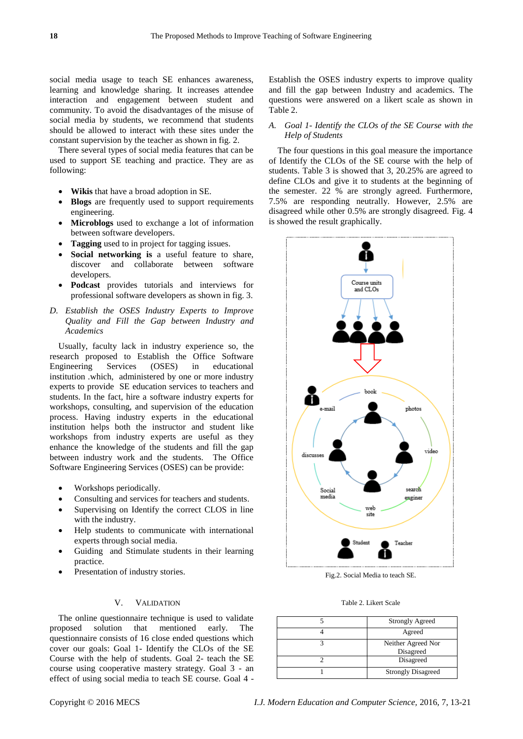social media usage to teach SE enhances awareness, learning and knowledge sharing. It increases attendee interaction and engagement between student and community. To avoid the disadvantages of the misuse of social media by students, we recommend that students should be allowed to interact with these sites under the constant supervision by the teacher as shown in fig. 2.

There several types of social media features that can be used to support SE teaching and practice. They are as following:

- **Wikis** that have a broad adoption in SE.
- **Blogs** are frequently used to support requirements engineering.
- **Microblogs** used to exchange a lot of information between software developers.
- **Tagging** used to in project for tagging issues.
- **Social networking is** a useful feature to share, discover and collaborate between software developers.
- **Podcast** provides tutorials and interviews for professional software developers as shown in fig. 3.
- *D. Establish the OSES Industry Experts to Improve Quality and Fill the Gap between Industry and Academics*

Usually, faculty lack in industry experience so, the research proposed to Establish the Office Software Engineering Services (OSES) in educational institution .which, administered by one or more industry experts to provide SE education services to teachers and students. In the fact, hire a software industry experts for workshops, consulting, and supervision of the education process. Having industry experts in the educational institution helps both the instructor and student like workshops from industry experts are useful as they enhance the knowledge of the students and fill the gap between industry work and the students. The Office Software Engineering Services (OSES) can be provide:

- Workshops periodically.
- Consulting and services for teachers and students.
- Supervising on Identify the correct CLOS in line with the industry.
- Help students to communicate with international experts through social media.
- Guiding and Stimulate students in their learning practice.
- Presentation of industry stories.

## V. VALIDATION

The online questionnaire technique is used to validate proposed solution that mentioned early. The questionnaire consists of 16 close ended questions which cover our goals: Goal 1- Identify the CLOs of the SE Course with the help of students. Goal 2- teach the SE course using cooperative mastery strategy. Goal 3 - an effect of using social media to teach SE course. Goal 4 -

Establish the OSES industry experts to improve quality and fill the gap between Industry and academics. The questions were answered on a likert scale as shown in Table 2.

#### *A. Goal 1- Identify the CLOs of the SE Course with the Help of Students*

The four questions in this goal measure the importance of Identify the CLOs of the SE course with the help of students. Table 3 is showed that 3, 20.25% are agreed to define CLOs and give it to students at the beginning of the semester. 22 % are strongly agreed. Furthermore, 7.5% are responding neutrally. However, 2.5% are disagreed while other 0.5% are strongly disagreed. Fig. 4 is showed the result graphically.



Fig.2. Social Media to teach SE.

Table 2. Likert Scale

| <b>Strongly Agreed</b>          |  |  |
|---------------------------------|--|--|
| Agreed                          |  |  |
| Neither Agreed Nor<br>Disagreed |  |  |
| Disagreed                       |  |  |
| <b>Strongly Disagreed</b>       |  |  |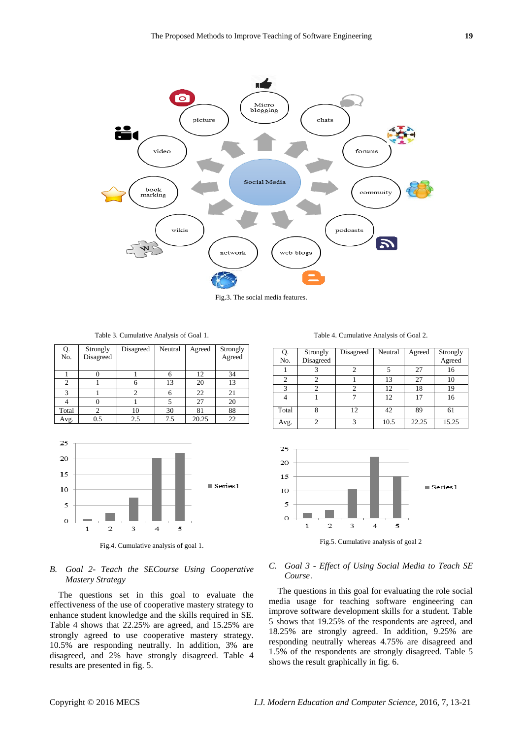

Fig.3. The social media features.

Table 3. Cumulative Analysis of Goal 1.

| Q.<br>No.      | Strongly<br>Disagreed | Disagreed | Neutral | Agreed | Strongly<br>Agreed |
|----------------|-----------------------|-----------|---------|--------|--------------------|
|                |                       |           | 6       | 12     | 34                 |
| $\mathfrak{D}$ |                       |           | 13      | 20     | 13                 |
| 3              |                       |           | 6       | 22     | 21                 |
|                |                       |           |         | 27     | 20                 |
| Total          |                       | 10        | 30      | 81     | 88                 |
| Avg.           | 0.5                   | 2.5       | 7.5     | 20.25  | 22                 |



## *B. Goal 2- Teach the SECourse Using Cooperative Mastery Strategy*

The questions set in this goal to evaluate the effectiveness of the use of cooperative mastery strategy to enhance student knowledge and the skills required in SE. Table 4 shows that 22.25% are agreed, and 15.25% are strongly agreed to use cooperative mastery strategy. 10.5% are responding neutrally. In addition, 3% are disagreed, and 2% have strongly disagreed. Table 4 results are presented in fig. 5.

Table 4. Cumulative Analysis of Goal 2.

| Q.<br>No.      | Strongly<br>Disagreed | Disagreed | Neutral | Agreed | Strongly<br>Agreed |
|----------------|-----------------------|-----------|---------|--------|--------------------|
|                |                       |           | 5       | 27     | 16                 |
| $\overline{c}$ |                       |           | 13      | 27     | 10                 |
| $\mathcal{R}$  |                       | っ         | 12      | 18     | 19                 |
|                |                       |           | 12      | 17     | 16                 |
| Total          |                       | 12        | 42      | 89     | 61                 |
| Avg.           |                       | 3         | 10.5    | 22.25  | 15.25              |



Fig.5. Cumulative analysis of goal 2

#### *C. Goal 3 - Effect of Using Social Media to Teach SE Course*.

The questions in this goal for evaluating the role social media usage for teaching software engineering can improve software development skills for a student. Table 5 shows that 19.25% of the respondents are agreed, and 18.25% are strongly agreed. In addition, 9.25% are responding neutrally whereas 4.75% are disagreed and 1.5% of the respondents are strongly disagreed. Table 5 shows the result graphically in fig. 6.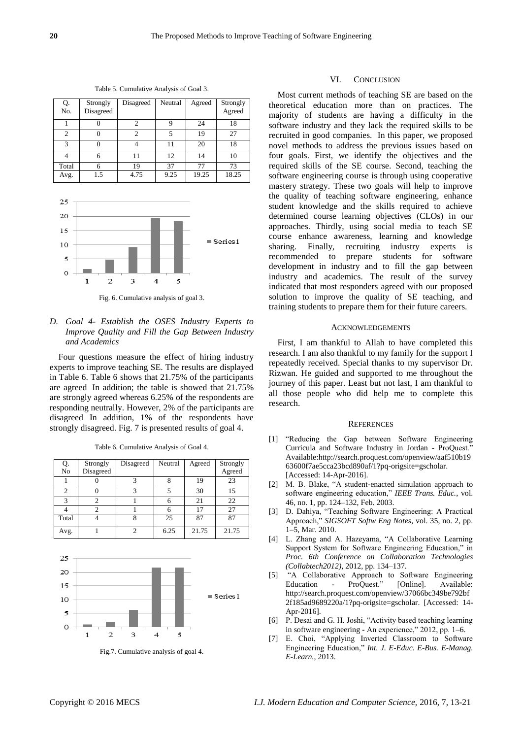| Q.<br>No.      | Strongly<br>Disagreed | Disagreed      | Neutral | Agreed | Strongly<br>Agreed |
|----------------|-----------------------|----------------|---------|--------|--------------------|
|                |                       | $\mathfrak{D}$ | 9       | 24     | 18                 |
| $\overline{c}$ |                       | 2              | 5       | 19     | 27                 |
| 3              |                       |                | 11      | 20     | 18                 |
|                | 6                     | 11             | 12      | 14     | 10                 |
| Total          |                       | 19             | 37      | 77     | 73                 |
| Avg.           | 1.5                   | 4.75           | 9.25    | 19.25  | 18.25              |

Table 5. Cumulative Analysis of Goal 3.



Fig. 6. Cumulative analysis of goal 3.

## *D. Goal 4- Establish the OSES Industry Experts to Improve Quality and Fill the Gap Between Industry and Academics*

Four questions measure the effect of hiring industry experts to improve teaching SE. The results are displayed in Table 6. Table 6 shows that 21.75% of the participants are agreed In addition; the table is showed that 21.75% are strongly agreed whereas 6.25% of the respondents are responding neutrally. However, 2% of the participants are disagreed In addition, 1% of the respondents have strongly disagreed. Fig. 7 is presented results of goal 4.

Table 6. Cumulative Analysis of Goal 4.

| Q.<br>No       | Strongly<br>Disagreed | Disagreed | Neutral | Agreed | Strongly<br>Agreed |
|----------------|-----------------------|-----------|---------|--------|--------------------|
|                |                       |           |         | 19     | 23                 |
| $\overline{c}$ |                       |           |         | 30     | 15                 |
| 3              |                       |           | 6       | 21     | 22                 |
|                |                       |           |         | 17     | 27                 |
| Total          |                       |           | 25      | 87     | 87                 |
| Avg.           |                       |           | 6.25    | 21.75  | 21.75              |



Fig.7. Cumulative analysis of goal 4.

#### VI. CONCLUSION

Most current methods of teaching SE are based on the theoretical education more than on practices. The majority of students are having a difficulty in the software industry and they lack the required skills to be recruited in good companies. In this paper, we proposed novel methods to address the previous issues based on four goals. First, we identify the objectives and the required skills of the SE course. Second, teaching the software engineering course is through using cooperative mastery strategy. These two goals will help to improve the quality of teaching software engineering, enhance student knowledge and the skills required to achieve determined course learning objectives (CLOs) in our approaches. Thirdly, using social media to teach SE course enhance awareness, learning and knowledge sharing. Finally, recruiting industry experts is recommended to prepare students for software development in industry and to fill the gap between industry and academics. The result of the survey indicated that most responders agreed with our proposed solution to improve the quality of SE teaching, and training students to prepare them for their future careers.

#### **ACKNOWLEDGEMENTS**

First, I am thankful to Allah to have completed this research. I am also thankful to my family for the support I repeatedly received. Special thanks to my supervisor Dr. Rizwan. He guided and supported to me throughout the journey of this paper. Least but not last, I am thankful to all those people who did help me to complete this research.

#### **REFERENCES**

- [1] "Reducing the Gap between Software Engineering Curricula and Software Industry in Jordan - ProQuest.<sup>®</sup> Available:http://search.proquest.com/openview/aaf510b19 63600f7ae5cca23bcd890af/1?pq-origsite=gscholar. [Accessed: 14-Apr-2016].
- [2] M. B. Blake, "A student-enacted simulation approach to software engineering education," IEEE Trans. Educ., vol. 46, no. 1, pp. 124–132, Feb. 2003.
- [3] D. Dahiya, "Teaching Software Engineering: A Practical Approach," SIGSOFT Softw Eng Notes, vol. 35, no. 2, pp. 1–5, Mar. 2010.
- [4] L. Zhang and A. Hazeyama, "A Collaborative Learning Support System for Software Engineering Education," in *Proc. 6th Conference on Collaboration Technologies (Collabtech2012)*, 2012, pp. 134–137.
- [5] "A Collaborative Approach to Software Engineering Education - ProQuest." [Online]. Available: http://search.proquest.com/openview/37066bc349be792bf 2f185ad9689220a/1?pq-origsite=gscholar. [Accessed: 14- Apr-2016].
- [6] P. Desai and G. H. Joshi, "Activity based teaching learning in software engineering - An experience," 2012, pp. 1–6.
- [7] E. Choi, "Applying Inverted Classroom to Software Engineering Education," *Int. J. E-Educ. E-Bus. E-Manag. E-Learn.*, 2013.